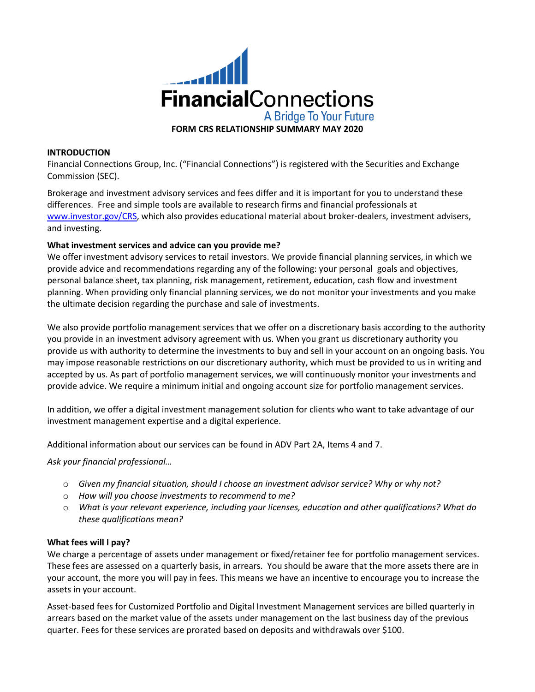

#### **INTRODUCTION**

Financial Connections Group, Inc. ("Financial Connections") is registered with the Securities and Exchange Commission (SEC).

Brokerage and investment advisory services and fees differ and it is important for you to understand these differences. Free and simple tools are available to research firms and financial professionals at [www.investor.gov/CRS,](http://www.investor.gov/CRS) which also provides educational material about broker-dealers, investment advisers, and investing.

#### **What investment services and advice can you provide me?**

We offer investment advisory services to retail investors. We provide financial planning services, in which we provide advice and recommendations regarding any of the following: your personal goals and objectives, personal balance sheet, tax planning, risk management, retirement, education, cash flow and investment planning. When providing only financial planning services, we do not monitor your investments and you make the ultimate decision regarding the purchase and sale of investments.

We also provide portfolio management services that we offer on a discretionary basis according to the authority you provide in an investment advisory agreement with us. When you grant us discretionary authority you provide us with authority to determine the investments to buy and sell in your account on an ongoing basis. You may impose reasonable restrictions on our discretionary authority, which must be provided to us in writing and accepted by us. As part of portfolio management services, we will continuously monitor your investments and provide advice. We require a minimum initial and ongoing account size for portfolio management services.

In addition, we offer a digital investment management solution for clients who want to take advantage of our investment management expertise and a digital experience.

Additional information about our services can be found in ADV Part 2A, Items 4 and 7.

*Ask your financial professional…*

- o *Given my financial situation, should I choose an investment advisor service? Why or why not?*
- o *How will you choose investments to recommend to me?*
- o *What is your relevant experience, including your licenses, education and other qualifications? What do these qualifications mean?*

#### **What fees will I pay?**

We charge a percentage of assets under management or fixed/retainer fee for portfolio management services. These fees are assessed on a quarterly basis, in arrears. You should be aware that the more assets there are in your account, the more you will pay in fees. This means we have an incentive to encourage you to increase the assets in your account.

Asset-based fees for Customized Portfolio and Digital Investment Management services are billed quarterly in arrears based on the market value of the assets under management on the last business day of the previous quarter. Fees for these services are prorated based on deposits and withdrawals over \$100.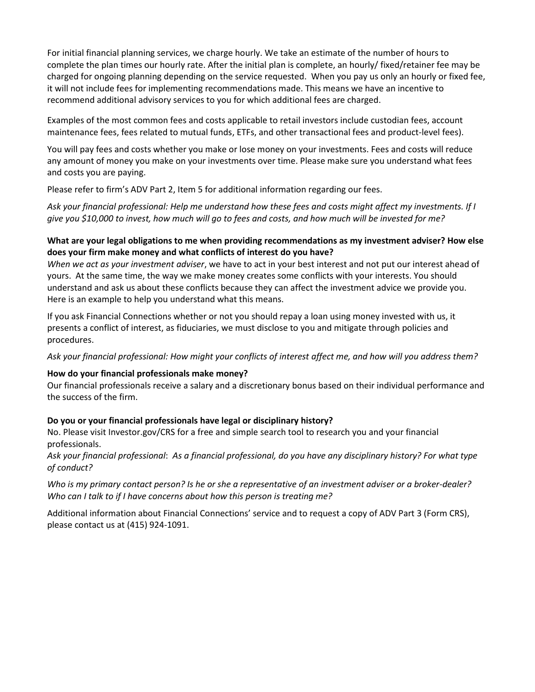For initial financial planning services, we charge hourly. We take an estimate of the number of hours to complete the plan times our hourly rate. After the initial plan is complete, an hourly/ fixed/retainer fee may be charged for ongoing planning depending on the service requested. When you pay us only an hourly or fixed fee, it will not include fees for implementing recommendations made. This means we have an incentive to recommend additional advisory services to you for which additional fees are charged.

Examples of the most common fees and costs applicable to retail investors include custodian fees, account maintenance fees, fees related to mutual funds, ETFs, and other transactional fees and product-level fees).

You will pay fees and costs whether you make or lose money on your investments. Fees and costs will reduce any amount of money you make on your investments over time. Please make sure you understand what fees and costs you are paying.

Please refer to firm's ADV Part 2, Item 5 for additional information regarding our fees.

*Ask your financial professional: Help me understand how these fees and costs might affect my investments. If I give you \$10,000 to invest, how much will go to fees and costs, and how much will be invested for me?*

#### **What are your legal obligations to me when providing recommendations as my investment adviser? How else does your firm make money and what conflicts of interest do you have?**

*When we act as your investment adviser*, we have to act in your best interest and not put our interest ahead of yours. At the same time, the way we make money creates some conflicts with your interests. You should understand and ask us about these conflicts because they can affect the investment advice we provide you. Here is an example to help you understand what this means.

If you ask Financial Connections whether or not you should repay a loan using money invested with us, it presents a conflict of interest, as fiduciaries, we must disclose to you and mitigate through policies and procedures.

*Ask your financial professional: How might your conflicts of interest affect me, and how will you address them?*

#### **How do your financial professionals make money?**

Our financial professionals receive a salary and a discretionary bonus based on their individual performance and the success of the firm.

# **Do you or your financial professionals have legal or disciplinary history?**

No. Please visit Investor.gov/CRS for a free and simple search tool to research you and your financial professionals.

*Ask your financial professional*: *As a financial professional, do you have any disciplinary history? For what type of conduct?*

*Who is my primary contact person? Is he or she a representative of an investment adviser or a broker-dealer? Who can I talk to if I have concerns about how this person is treating me?*

Additional information about Financial Connections' service and to request a copy of ADV Part 3 (Form CRS), please contact us at (415) 924-1091.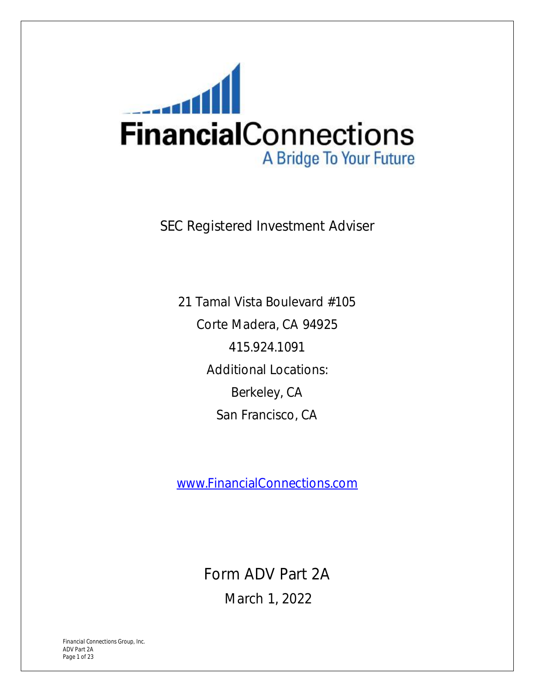

SEC Registered Investment Adviser

21 Tamal Vista Boulevard #105 Corte Madera, CA 94925 415.924.1091 Additional Locations: Berkeley, CA San Francisco, CA

[www.FinancialConnections.com](http://www.FinancialConnections.com) 

Form ADV Part 2A

March 1, 2022

*Financial Connections Group, Inc. ADV Part 2A Page 1 of 23*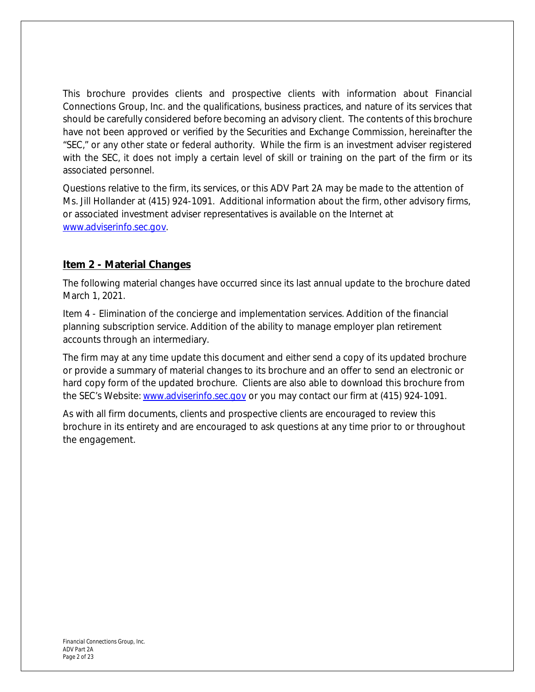This brochure provides clients and prospective clients with information about Financial Connections Group, Inc. and the qualifications, business practices, and nature of its services that should be carefully considered before becoming an advisory client. The contents of this brochure have not been approved or verified by the Securities and Exchange Commission, hereinafter the "SEC," or any other state or federal authority. While the firm is an investment adviser registered with the SEC, it does not imply a certain level of skill or training on the part of the firm or its associated personnel.

Questions relative to the firm, its services, or this ADV Part 2A may be made to the attention of Ms. Jill Hollander at (415) 924-1091. Additional information about the firm, other advisory firms, or associated investment adviser representatives is available on the Internet at [www.adviserinfo.sec.gov.](http://www.adviserinfo.sec.gov)

# **Item 2 - Material Changes**

The following material changes have occurred since its last annual update to the brochure dated March 1, 2021.

Item 4 - Elimination of the concierge and implementation services. Addition of the financial planning subscription service. Addition of the ability to manage employer plan retirement accounts through an intermediary.

The firm may at any time update this document and either send a copy of its updated brochure or provide a summary of material changes to its brochure and an offer to send an electronic or hard copy form of the updated brochure. Clients are also able to download this brochure from the SEC's Website: [www.adviserinfo.sec.gov](http://www.adviserinfo.sec.gov) or you may contact our firm at (415) 924-1091.

As with all firm documents, clients and prospective clients are encouraged to review this brochure in its entirety and are encouraged to ask questions at any time prior to or throughout the engagement.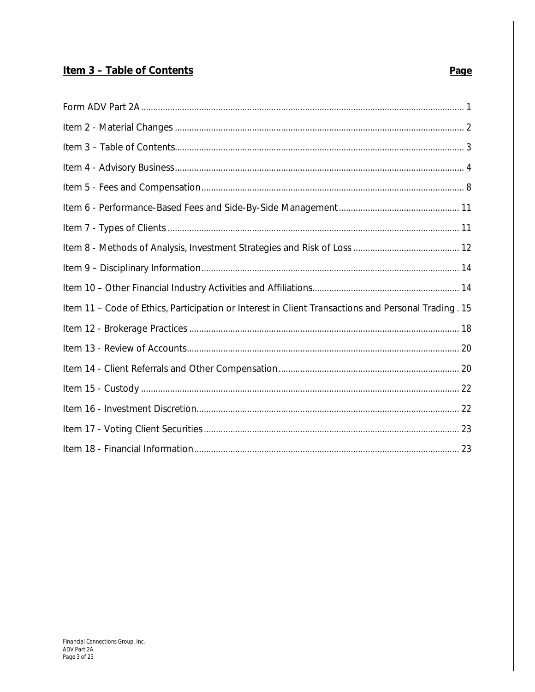# Item 3 - Table of Contents

# Page

| Item 11 - Code of Ethics, Participation or Interest in Client Transactions and Personal Trading. 15 |
|-----------------------------------------------------------------------------------------------------|
|                                                                                                     |
|                                                                                                     |
|                                                                                                     |
|                                                                                                     |
|                                                                                                     |
|                                                                                                     |
|                                                                                                     |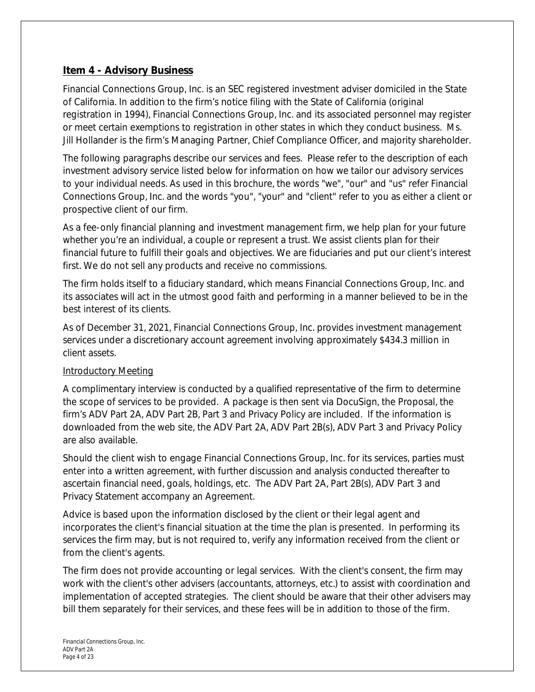# **Item 4 - Advisory Business**

Financial Connections Group, Inc. is an SEC registered investment adviser domiciled in the State of California. In addition to the firm's notice filing with the State of California (original registration in 1994), Financial Connections Group, Inc. and its associated personnel may register or meet certain exemptions to registration in other states in which they conduct business. Ms. Jill Hollander is the firm's Managing Partner, Chief Compliance Officer, and majority shareholder.

The following paragraphs describe our services and fees. Please refer to the description of each investment advisory service listed below for information on how we tailor our advisory services to your individual needs. As used in this brochure, the words "we", "our" and "us" refer Financial Connections Group, Inc. and the words "you", "your" and "client" refer to you as either a client or prospective client of our firm.

As a fee-only financial planning and investment management firm, we help plan for your future whether you're an individual, a couple or represent a trust. We assist clients plan for their financial future to fulfill their goals and objectives. We are fiduciaries and put our client's interest first. We do not sell any products and receive no commissions.

The firm holds itself to a *fiduciary standard*, which means Financial Connections Group, Inc. and its associates will act in the utmost good faith and performing in a manner believed to be in the best interest of its clients.

As of December 31, 2021, Financial Connections Group, Inc. provides investment management services under a discretionary account agreement involving approximately \$434.3 million in client assets.

# Introductory Meeting

A complimentary interview is conducted by a qualified representative of the firm to determine the scope of services to be provided. A package is then sent via DocuSign, the Proposal, the firm's ADV Part 2A, ADV Part 2B, Part 3 and Privacy Policy are included. If the information is downloaded from the web site, the ADV Part 2A, ADV Part 2B(s), ADV Part 3 and Privacy Policy are also available.

Should the client wish to engage Financial Connections Group, Inc. for its services, parties must enter into a written agreement, with further discussion and analysis conducted thereafter to ascertain financial need, goals, holdings, etc. The ADV Part 2A, Part 2B(s), ADV Part 3 and Privacy Statement accompany an Agreement.

Advice is based upon the information disclosed by the client or their legal agent and incorporates the client's financial situation at the time the plan is presented. In performing its services the firm may, but is not required to, verify any information received from the client or from the client's agents.

The firm does not provide accounting or legal services. With the client's consent, the firm may work with the client's other advisers (accountants, attorneys, etc.) to assist with coordination and implementation of accepted strategies. The client should be aware that their other advisers may bill them separately for their services, and these fees will be in addition to those of the firm.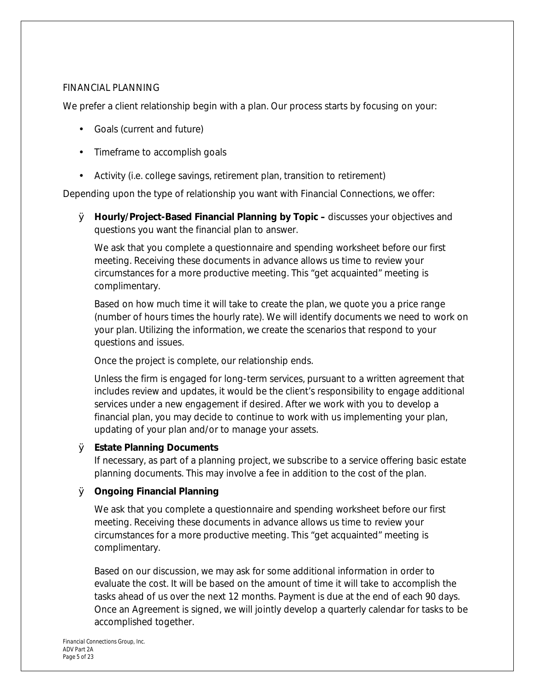#### FINANCIAL PLANNING

We prefer a client relationship begin with a plan. Our process starts by focusing on your:

- Goals (current and future)
- Timeframe to accomplish goals
- Activity (i.e. college savings, retirement plan, transition to retirement)

Depending upon the type of relationship you want with Financial Connections, we offer:

Ø **Hourly/Project-Based Financial Planning by Topic –** discusses your objectives and questions you want the financial plan to answer.

We ask that you complete a questionnaire and spending worksheet before our first meeting. Receiving these documents in advance allows us time to review your circumstances for a more productive meeting. This "get acquainted" meeting is complimentary.

Based on how much time it will take to create the plan, we quote you a price range (number of hours times the hourly rate). We will identify documents we need to work on your plan. Utilizing the information, we create the scenarios that respond to your questions and issues.

Once the project is complete, our relationship ends.

Unless the firm is engaged for long-term services, pursuant to a written agreement that includes review and updates, it would be the client's responsibility to engage additional services under a new engagement if desired. After we work with you to develop a financial plan, you may decide to continue to work with us implementing your plan, updating of your plan and/or to manage your assets.

# Ø **Estate Planning Documents**

If necessary, as part of a planning project, we subscribe to a service offering basic estate planning documents. This may involve a fee in addition to the cost of the plan.

Ø **Ongoing Financial Planning**

We ask that you complete a questionnaire and spending worksheet before our first meeting. Receiving these documents in advance allows us time to review your circumstances for a more productive meeting. This "get acquainted" meeting is complimentary.

Based on our discussion, we may ask for some additional information in order to evaluate the cost. It will be based on the amount of time it will take to accomplish the tasks ahead of us over the next 12 months. Payment is due at the end of each 90 days. Once an Agreement is signed, we will jointly develop a quarterly calendar for tasks to be accomplished together.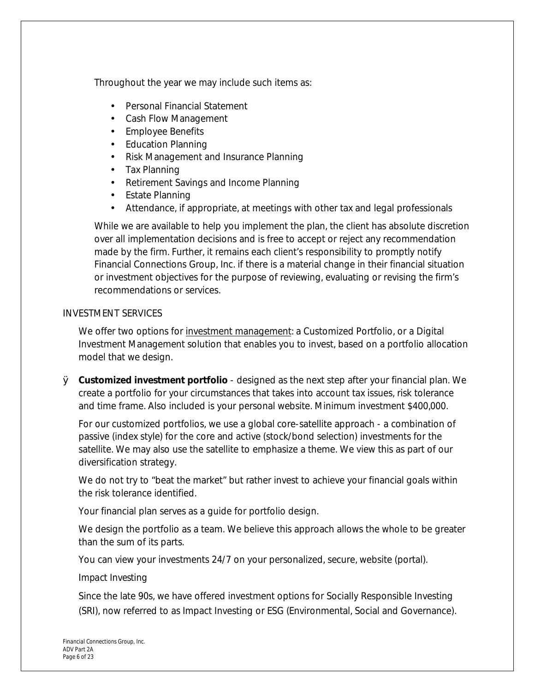Throughout the year we may include such items as:

- Personal Financial Statement
- Cash Flow Management
- Employee Benefits  $\mathcal{L}^{\text{max}}$
- Education Planning  $\mathcal{L}^{\text{max}}$
- Risk Management and Insurance Planning
- Tax Planning  $\mathbf{r}$
- Retirement Savings and Income Planning
- $\mathbf{r}$ Estate Planning
- Attendance, if appropriate, at meetings with other tax and legal professionals ä,

While we are available to help you implement the plan, the client has absolute discretion over all implementation decisions and is free to accept or reject any recommendation made by the firm. Further, it remains each client's responsibility to promptly notify Financial Connections Group, Inc. if there is a material change in their financial situation or investment objectives for the purpose of reviewing, evaluating or revising the firm's recommendations or services.

# INVESTMENT SERVICES

We offer two options for investment management: a Customized Portfolio, or a Digital Investment Management solution that enables you to invest, based on a portfolio allocation model that we design.

Ø **Customized investment portfolio** - designed as the next step after your financial plan. We create a portfolio for your circumstances that takes into account tax issues, risk tolerance and time frame. Also included is your personal website. Minimum investment \$400,000.

For our customized portfolios, we use a global core-satellite approach - a combination of passive (index style) for the core and active (stock/bond selection) investments for the satellite. We may also use the satellite to emphasize a theme. We view this as part of our diversification strategy.

We do not try to "beat the market" but rather invest to achieve your financial goals within the risk tolerance identified.

Your financial plan serves as a guide for portfolio design.

We design the portfolio as a team. We believe this approach allows the whole to be greater than the sum of its parts.

You can view your investments 24/7 on your personalized, secure, website (portal).

# *Impact Investing*

Since the late 90s, we have offered investment options for Socially Responsible Investing (SRI), now referred to as Impact Investing or ESG (Environmental, Social and Governance).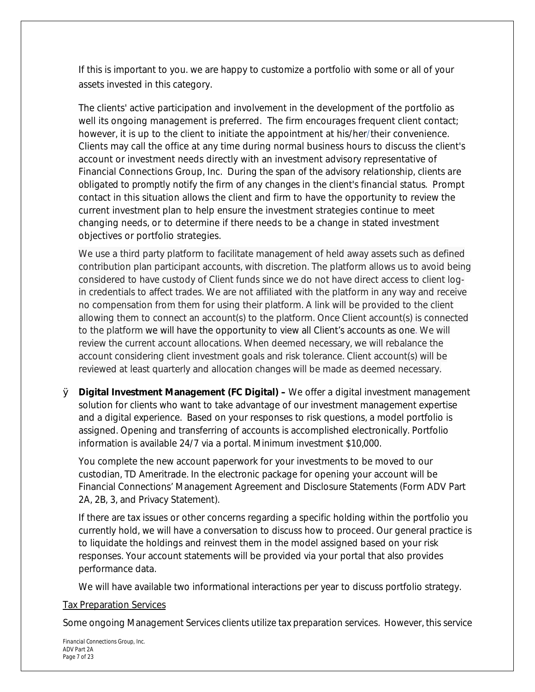If this is important to you. we are happy to customize a portfolio with some or all of your assets invested in this category.

The clients' active participation and involvement in the development of the portfolio as well its ongoing management is preferred. The firm encourages frequent client contact; however, it is up to the client to initiate the appointment at his/her/their convenience. Clients may call the office at any time during normal business hours to discuss the client's account or investment needs directly with an investment advisory representative of Financial Connections Group, Inc. *During the span of the advisory relationship, clients are obligated to promptly notify the firm of any changes in the client's financial status*. Prompt contact in this situation allows the client and firm to have the opportunity to review the current investment plan to help ensure the investment strategies continue to meet changing needs, or to determine if there needs to be a change in stated investment objectives or portfolio strategies.

We use a third party platform to facilitate management of held away assets such as defined contribution plan participant accounts, with discretion. The platform allows us to avoid being considered to have custody of Client funds since we do not have direct access to client login credentials to affect trades. We are not affiliated with the platform in any way and receive no compensation from them for using their platform. A link will be provided to the client allowing them to connect an account(s) to the platform. Once Client account(s) is connected to the platform we will have the opportunity to view all Client's accounts as one. We will review the current account allocations. When deemed necessary, we will rebalance the account considering client investment goals and risk tolerance. Client account(s) will be reviewed at least quarterly and allocation changes will be made as deemed necessary.

Ø **Digital Investment Management (FC Digital) –** We offer a digital investment management solution for clients who want to take advantage of our investment management expertise and a digital experience. Based on your responses to risk questions, a model portfolio is assigned. Opening and transferring of accounts is accomplished electronically. Portfolio information is available 24/7 via a portal. Minimum investment \$10,000.

You complete the new account paperwork for your investments to be moved to our custodian, TD Ameritrade. In the electronic package for opening your account will be Financial Connections' Management Agreement and Disclosure Statements (Form ADV Part 2A, 2B, 3, and Privacy Statement).

If there are tax issues or other concerns regarding a specific holding within the portfolio you currently hold, we will have a conversation to discuss how to proceed. Our general practice is to liquidate the holdings and reinvest them in the model assigned based on your risk responses. Your account statements will be provided via your portal that also provides performance data.

We will have available two informational interactions per year to discuss portfolio strategy.

# Tax Preparation Services

Some ongoing Management Services clients utilize tax preparation services. However, this service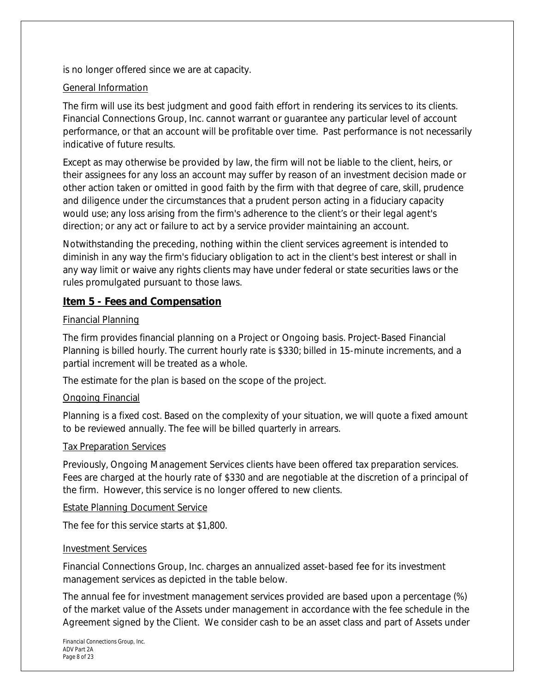is no longer offered since we are at capacity.

# General Information

The firm will use its best judgment and good faith effort in rendering its services to its clients. Financial Connections Group, Inc. cannot warrant or guarantee any particular level of account performance, or that an account will be profitable over time. Past performance is not necessarily indicative of future results.

Except as may otherwise be provided by law, the firm will not be liable to the client, heirs, or their assignees for any loss an account may suffer by reason of an investment decision made or other action taken or omitted in good faith by the firm with that degree of care, skill, prudence and diligence under the circumstances that a prudent person acting in a fiduciary capacity would use; any loss arising from the firm's adherence to the client's or their legal agent's direction; or any act or failure to act by a service provider maintaining an account.

Notwithstanding the preceding, nothing within the client services agreement is intended to diminish in any way the firm's fiduciary obligation to act in the client's best interest or shall in any way limit or waive any rights clients may have under federal or state securities laws or the rules promulgated pursuant to those laws.

# **Item 5 - Fees and Compensation**

# Financial Planning

The firm provides financial planning on a Project or Ongoing basis. Project-Based Financial Planning is billed hourly. The current hourly rate is \$330; billed in 15-minute increments, and a partial increment will be treated as a whole.

The estimate for the plan is based on the scope of the project.

# Ongoing Financial

Planning is a fixed cost. Based on the complexity of your situation, we will quote a fixed amount to be reviewed annually. The fee will be billed quarterly in arrears.

# Tax Preparation Services

Previously, Ongoing Management Services clients have been offered tax preparation services. Fees are charged at the hourly rate of \$330 and are negotiable at the discretion of a principal of the firm. However, this service is no longer offered to new clients.

# Estate Planning Document Service

The fee for this service starts at \$1,800.

# Investment Services

Financial Connections Group, Inc. charges an annualized asset-based fee for its investment management services as depicted in the table below.

The annual fee for investment management services provided are based upon a percentage (%) of the market value of the Assets under management in accordance with the fee schedule in the Agreement signed by the Client. We consider cash to be an asset class and part of Assets under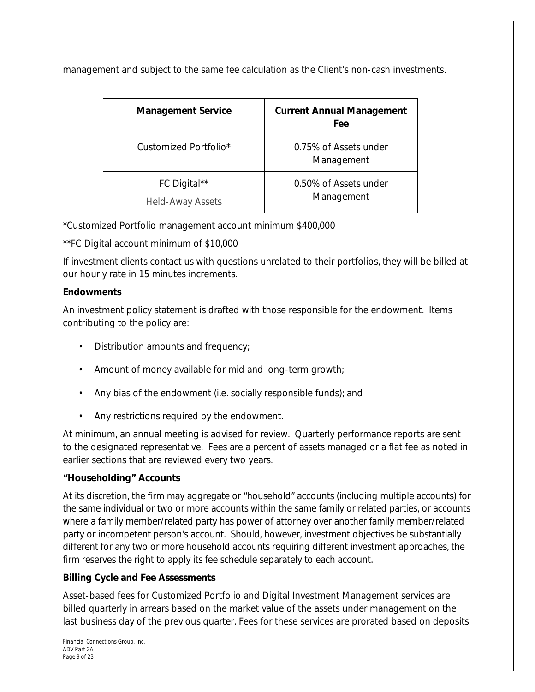management and subject to the same fee calculation as the Client's non-cash investments.

| <b>Management Service</b>               | <b>Current Annual Management</b><br><b>Fee</b> |
|-----------------------------------------|------------------------------------------------|
| Customized Portfolio*                   | 0.75% of Assets under<br>Management            |
| FC Digital**<br><b>Held-Away Assets</b> | 0.50% of Assets under<br>Management            |

\*Customized Portfolio management account minimum \$400,000

\*\*FC Digital account minimum of \$10,000

If investment clients contact us with questions unrelated to their portfolios, they will be billed at our hourly rate in 15 minutes increments.

# **Endowments**

An investment policy statement is drafted with those responsible for the endowment. Items contributing to the policy are:

- Distribution amounts and frequency;
- Amount of money available for mid and long-term growth;
- Any bias of the endowment (i.e. socially responsible funds); and
- Any restrictions required by the endowment.

At minimum, an annual meeting is advised for review. Quarterly performance reports are sent to the designated representative. Fees are a percent of assets managed or a flat fee as noted in earlier sections that are reviewed every two years.

# **"Householding" Accounts**

At its discretion, the firm may aggregate or "household" accounts (including multiple accounts) for the same individual or two or more accounts within the same family or related parties, or accounts where a family member/related party has power of attorney over another family member/related party or incompetent person's account. Should, however, investment objectives be substantially different for any two or more household accounts requiring different investment approaches, the firm reserves the right to apply its fee schedule separately to each account.

# **Billing Cycle and Fee Assessments**

Asset-based fees for Customized Portfolio and Digital Investment Management services are billed quarterly in arrears based on the market value of the assets under management on the last business day of the previous quarter. Fees for these services are prorated based on deposits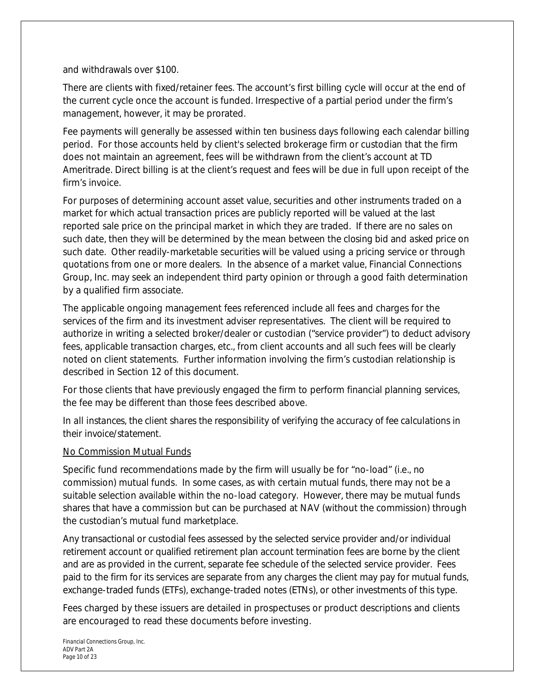#### and withdrawals over \$100.

There are clients with fixed/retainer fees. The account's first billing cycle will occur at the end of the current cycle once the account is funded. Irrespective of a partial period under the firm's management, however, it may be prorated.

Fee payments will generally be assessed within ten business days following each calendar billing period. For those accounts held by client's selected brokerage firm or custodian that the firm does not maintain an agreement, fees will be withdrawn from the client's account at TD Ameritrade. Direct billing is at the client's request and fees will be due in full upon receipt of the firm's invoice.

For purposes of determining account asset value, securities and other instruments traded on a market for which actual transaction prices are publicly reported will be valued at the last reported sale price on the principal market in which they are traded. If there are no sales on such date, then they will be determined by the mean between the *closing bid* and *asked price* on such date. Other readily-marketable securities will be valued using a pricing service or through quotations from one or more dealers. In the absence of a market value, Financial Connections Group, Inc. may seek an independent third party opinion or through a good faith determination by a qualified firm associate.

The applicable ongoing management fees referenced include all fees and charges for the services of the firm and its investment adviser representatives. The client will be required to authorize in writing a selected broker/dealer or custodian ("service provider") to deduct advisory fees, applicable transaction charges, etc., from client accounts and all such fees will be clearly noted on client statements. Further information involving the firm's custodian relationship is described in Section 12 of this document.

For those clients that have previously engaged the firm to perform financial planning services, the fee may be different than those fees described above.

*In all instances, the client shares the responsibility of verifying the accuracy of fee calculations in their invoice/statement.* 

# No Commission Mutual Funds

Specific fund recommendations made by the firm will usually be for "no-load" (i.e., no commission) mutual funds. In some cases, as with certain mutual funds, there may not be a suitable selection available within the no-load category. However, there may be mutual funds shares that have a commission but can be purchased at NAV (without the commission) through the custodian's mutual fund marketplace.

Any transactional or custodial fees assessed by the selected service provider and/or individual retirement account or qualified retirement plan account termination fees are borne by the client and are as provided in the current, separate fee schedule of the selected service provider. Fees paid to the firm for its services are separate from any charges the client may pay for mutual funds, exchange-traded funds (ETFs), exchange-traded notes (ETNs), or other investments of this type.

Fees charged by these issuers are detailed in prospectuses or product descriptions and clients are encouraged to read these documents before investing.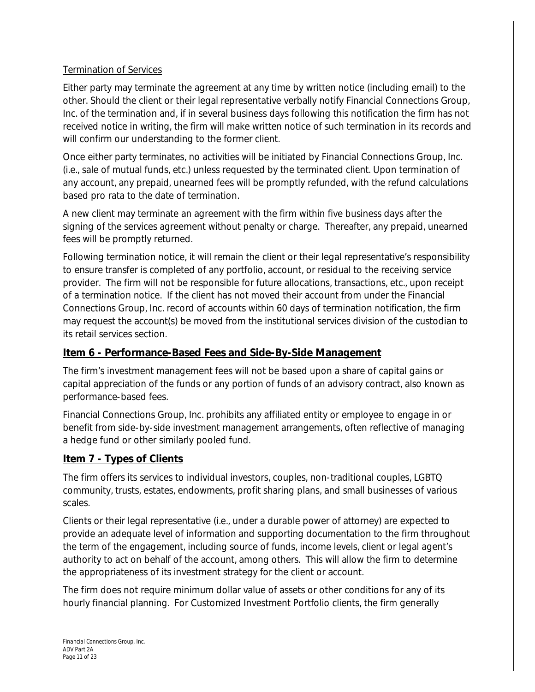# Termination of Services

Either party may terminate the agreement at any time by written notice (including email) to the other. Should the client or their legal representative verbally notify Financial Connections Group, Inc. of the termination and, if in several business days following this notification the firm has not received notice in writing, the firm will make written notice of such termination in its records and will confirm our understanding to the former client.

Once either party terminates, no activities will be initiated by Financial Connections Group, Inc. (i.e., sale of mutual funds, etc.) unless requested by the terminated client. Upon termination of any account, any prepaid, unearned fees will be promptly refunded, with the refund calculations based pro rata to the date of termination.

A new client may terminate an agreement with the firm within five business days after the signing of the services agreement without penalty or charge. Thereafter, any prepaid, unearned fees will be promptly returned.

Following termination notice, it will remain the client or their legal representative's responsibility to ensure transfer is completed of any portfolio, account, or residual to the receiving service provider. The firm will not be responsible for future allocations, transactions, etc., upon receipt of a termination notice. If the client has not moved their account from under the Financial Connections Group, Inc. record of accounts within 60 days of termination notification, the firm may request the account(s) be moved from the institutional services division of the custodian to its retail services section.

# **Item 6 - Performance-Based Fees and Side-By-Side Management**

The firm's investment management fees will not be based upon a share of capital gains or capital appreciation of the funds or any portion of funds of an advisory contract, also known as performance-based fees.

Financial Connections Group, Inc. prohibits any affiliated entity or employee to engage in or benefit from side-by-side investment management arrangements, often reflective of managing a hedge fund or other similarly pooled fund.

# **Item 7 - Types of Clients**

The firm offers its services to individual investors, couples, non-traditional couples, LGBTQ community, trusts, estates, endowments, profit sharing plans, and small businesses of various scales.

Clients or their legal representative (i.e., under a durable power of attorney) are expected to provide an adequate level of information and supporting documentation to the firm throughout the term of the engagement, including source of funds, income levels, client or legal agent's authority to act on behalf of the account, among others. This will allow the firm to determine the appropriateness of its investment strategy for the client or account.

The firm does not require minimum dollar value of assets or other conditions for any of its hourly financial planning. For Customized Investment Portfolio clients, the firm generally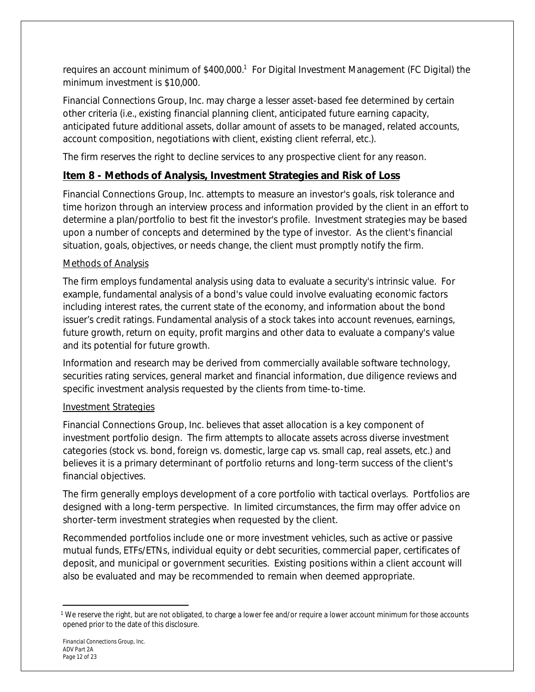requires an account minimum of \$400,000.<sup>1</sup> For Digital Investment Management (FC Digital) the minimum investment is \$10,000.

Financial Connections Group, Inc. may charge a lesser asset-based fee determined by certain other criteria (i.e., existing financial planning client, anticipated future earning capacity, anticipated future additional assets, dollar amount of assets to be managed, related accounts, account composition, negotiations with client, existing client referral, etc.).

The firm reserves the right to decline services to any prospective client for any reason.

# **Item 8 - Methods of Analysis, Investment Strategies and Risk of Loss**

Financial Connections Group, Inc. attempts to measure an investor's goals, risk tolerance and time horizon through an interview process and information provided by the client in an effort to determine a plan/portfolio to best fit the investor's profile. Investment strategies may be based upon a number of concepts and determined by the type of investor. As the client's financial situation, goals, objectives, or needs change, the client must promptly notify the firm.

# Methods of Analysis

The firm employs fundamental analysis using data to evaluate a security's intrinsic value. For example, fundamental analysis of a bond's value could involve evaluating economic factors including interest rates, the current state of the economy, and information about the bond issuer's credit ratings. Fundamental analysis of a stock takes into account revenues, earnings, future growth, return on equity, profit margins and other data to evaluate a company's value and its potential for future growth.

Information and research may be derived from commercially available software technology, securities rating services, general market and financial information, due diligence reviews and specific investment analysis requested by the clients from time-to-time.

# Investment Strategies

Financial Connections Group, Inc. believes that asset allocation is a key component of investment portfolio design. The firm attempts to allocate assets across diverse investment categories (stock vs. bond, foreign vs. domestic, large cap vs. small cap, real assets, etc.) and believes it is a primary determinant of portfolio returns and long-term success of the client's financial objectives.

The firm generally employs development of a core portfolio with tactical overlays. Portfolios are designed with a long-term perspective. In limited circumstances, the firm may offer advice on shorter-term investment strategies when requested by the client.

Recommended portfolios include one or more investment vehicles, such as active or passive mutual funds, ETFs/ETNs, individual equity or debt securities, commercial paper, certificates of deposit, and municipal or government securities. Existing positions within a client account will also be evaluated and may be recommended to remain when deemed appropriate.

<sup>1</sup> We reserve the right, but are not obligated, to charge a lower fee and/or require a lower account minimum for those accounts opened prior to the date of this disclosure.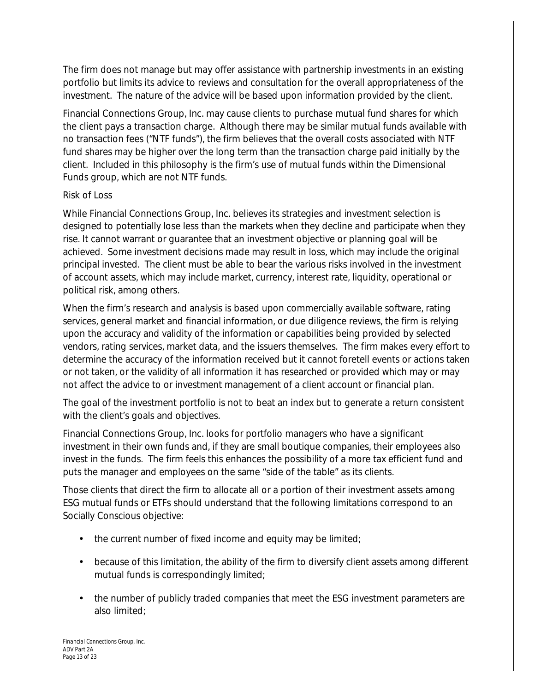The firm does not manage but may offer assistance with partnership investments in an existing portfolio but limits its advice to reviews and consultation for the overall appropriateness of the investment. The nature of the advice will be based upon information provided by the client.

Financial Connections Group, Inc. may cause clients to purchase mutual fund shares for which the client pays a transaction charge. Although there may be similar mutual funds available with no transaction fees ("NTF funds"), the firm believes that the overall costs associated with NTF fund shares may be higher over the long term than the transaction charge paid initially by the client. Included in this philosophy is the firm's use of mutual funds within the Dimensional Funds group, which are not NTF funds.

# Risk of Loss

While Financial Connections Group, Inc. believes its strategies and investment selection is designed to potentially lose less than the markets when they decline and participate when they rise. It cannot warrant or guarantee that an investment objective or planning goal will be achieved. Some investment decisions made may result in loss, which may include the original principal invested. The client must be able to bear the various risks involved in the investment of account assets, which may include market, currency, interest rate, liquidity, operational or political risk, among others.

When the firm's research and analysis is based upon commercially available software, rating services, general market and financial information, or due diligence reviews, the firm is relying upon the accuracy and validity of the information or capabilities being provided by selected vendors, rating services, market data, and the issuers themselves. The firm makes every effort to determine the accuracy of the information received but it cannot foretell events or actions taken or not taken, or the validity of all information it has researched or provided which may or may not affect the advice to or investment management of a client account or financial plan.

The goal of the investment portfolio is not to beat an index but to generate a return consistent with the client's goals and objectives.

Financial Connections Group, Inc. looks for portfolio managers who have a significant investment in their own funds and, if they are small boutique companies, their employees also invest in the funds. The firm feels this enhances the possibility of a more tax efficient fund and puts the manager and employees on the same "side of the table" as its clients.

Those clients that direct the firm to allocate all or a portion of their investment assets among ESG mutual funds or ETFs should understand that the following limitations correspond to an Socially Conscious objective:

- the current number of fixed income and equity may be limited;
- because of this limitation, the ability of the firm to diversify client assets among different mutual funds is correspondingly limited;
- the number of publicly traded companies that meet the ESG investment parameters are also limited;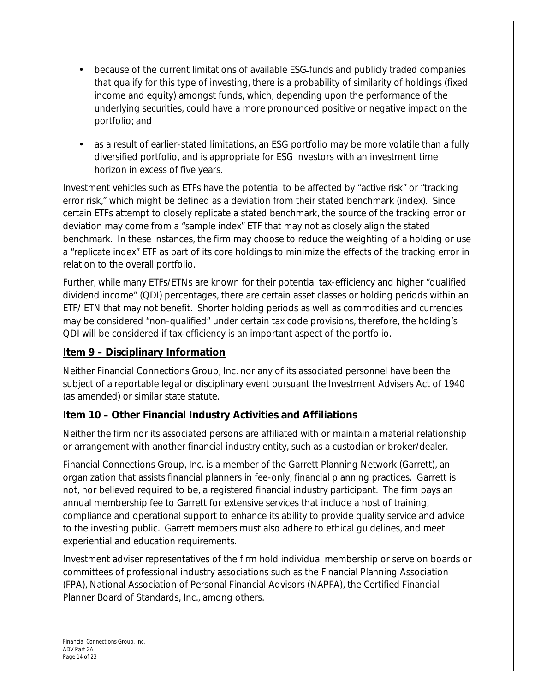- because of the current limitations of available ESG funds and publicly traded companies that qualify for this type of investing, there is a probability of similarity of holdings (fixed income and equity) amongst funds, which, depending upon the performance of the underlying securities, could have a more pronounced positive or negative impact on the portfolio; and
- as a result of earlier-stated limitations, an ESG portfolio may be more volatile than a fully diversified portfolio, and is appropriate for ESG investors with an investment time horizon in excess of five years.

Investment vehicles such as ETFs have the potential to be affected by "active risk" or "tracking error risk," which might be defined as a deviation from their stated benchmark (index). Since certain ETFs attempt to closely replicate a stated benchmark, the source of the tracking error or deviation may come from a "sample index" ETF that may not as closely align the stated benchmark. In these instances, the firm may choose to reduce the weighting of a holding or use a "replicate index" ETF as part of its core holdings to minimize the effects of the tracking error in relation to the overall portfolio.

Further, while many ETFs/ETNs are known for their potential tax-efficiency and higher "qualified dividend income" (QDI) percentages, there are certain asset classes or holding periods within an ETF/ ETN that may not benefit. Shorter holding periods as well as commodities and currencies may be considered "non-qualified" under certain tax code provisions, therefore, the holding's QDI will be considered if tax-efficiency is an important aspect of the portfolio.

# **Item 9 – Disciplinary Information**

Neither Financial Connections Group, Inc. nor any of its associated personnel have been the subject of a reportable legal or disciplinary event pursuant the Investment Advisers Act of 1940 (as amended) or similar state statute.

# **Item 10 – Other Financial Industry Activities and Affiliations**

Neither the firm nor its associated persons are affiliated with or maintain a material relationship or arrangement with another financial industry entity, such as a custodian or broker/dealer.

Financial Connections Group, Inc. is a member of the Garrett Planning Network (Garrett), an organization that assists financial planners in fee-only, financial planning practices. Garrett is not, nor believed required to be, a registered financial industry participant. The firm pays an annual membership fee to Garrett for extensive services that include a host of training, compliance and operational support to enhance its ability to provide quality service and advice to the investing public. Garrett members must also adhere to ethical guidelines, and meet experiential and education requirements.

Investment adviser representatives of the firm hold individual membership or serve on boards or committees of professional industry associations such as the Financial Planning Association (FPA), National Association of Personal Financial Advisors (NAPFA), the Certified Financial Planner Board of Standards, Inc., among others.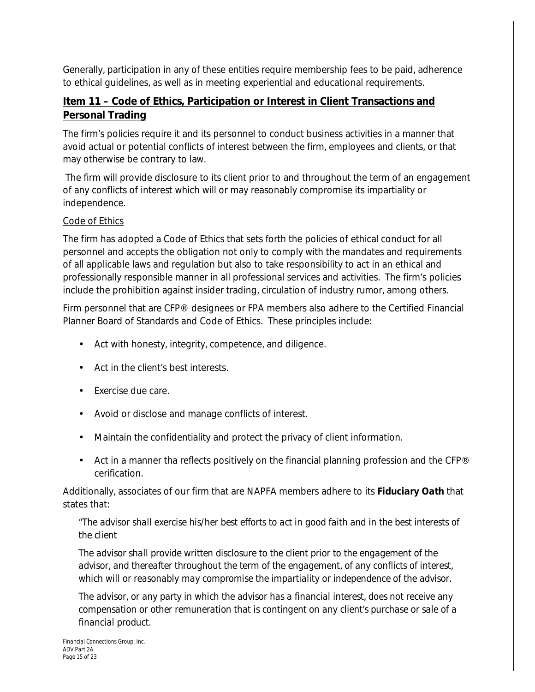Generally, participation in any of these entities require membership fees to be paid, adherence to ethical guidelines, as well as in meeting experiential and educational requirements.

# **Item 11 – Code of Ethics, Participation or Interest in Client Transactions and Personal Trading**

The firm's policies require it and its personnel to conduct business activities in a manner that avoid actual or potential conflicts of interest between the firm, employees and clients, or that may otherwise be contrary to law.

 The firm will provide disclosure to its client prior to and throughout the term of an engagement of any conflicts of interest which will or may reasonably compromise its impartiality or independence.

# Code of Ethics

The firm has adopted a Code of Ethics that sets forth the policies of ethical conduct for all personnel and accepts the obligation not only to comply with the mandates and requirements of all applicable laws and regulation but also to take responsibility to act in an ethical and professionally responsible manner in all professional services and activities. The firm's policies include the prohibition against insider trading, circulation of industry rumor, among others.

Firm personnel that are CFP® designees or FPA members also adhere to the Certified Financial Planner Board of Standards and Code of Ethics. These principles include:

- Act with honesty, integrity, competence, and diligence.
- Act in the client's best interests.
- Exercise due care.
- Avoid or disclose and manage conflicts of interest.
- Maintain the confidentiality and protect the privacy of client information.
- Act in a manner tha reflects positively on the financial planning profession and the CFP® cerification.

Additionally, associates of our firm that are NAPFA members adhere to its *Fiduciary Oath* that states that:

"*The advisor shall exercise his/her best efforts to act in good faith and in the best interests of the client* 

*The advisor shall provide written disclosure to the client prior to the engagement of the advisor, and thereafter throughout the term of the engagement, of any conflicts of interest, which will or reasonably may compromise the impartiality or independence of the advisor.* 

*The advisor, or any party in which the advisor has a financial interest, does not receive any compensation or other remuneration that is contingent on any client's purchase or sale of a financial product.*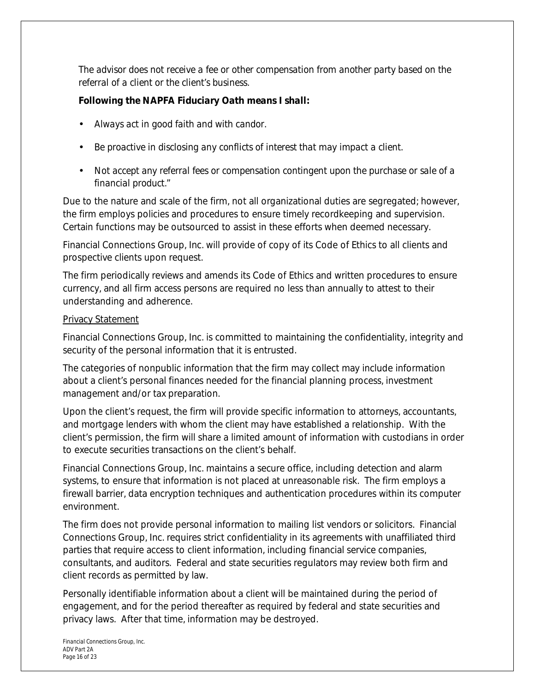*The advisor does not receive a fee or other compensation from another party based on the referral of a client or the client's business.* 

# *Following the NAPFA Fiduciary Oath means I shall:*

- *Always act in good faith and with candor.*
- *Be proactive in disclosing any conflicts of interest that may impact a client.*
- *Not accept any referral fees or compensation contingent upon the purchase or sale of a financial product.*"

Due to the nature and scale of the firm, not all organizational duties are segregated; however, the firm employs policies and procedures to ensure timely recordkeeping and supervision. Certain functions may be outsourced to assist in these efforts when deemed necessary.

Financial Connections Group, Inc. will provide of copy of its Code of Ethics to all clients and prospective clients upon request.

The firm periodically reviews and amends its Code of Ethics and written procedures to ensure currency, and all firm access persons are required no less than annually to attest to their understanding and adherence.

#### Privacy Statement

Financial Connections Group, Inc. is committed to maintaining the confidentiality, integrity and security of the personal information that it is entrusted.

The categories of nonpublic information that the firm may collect may include information about a client's personal finances needed for the financial planning process, investment management and/or tax preparation.

Upon the client's request, the firm will provide specific information to attorneys, accountants, and mortgage lenders with whom the client may have established a relationship. With the client's permission, the firm will share a limited amount of information with custodians in order to execute securities transactions on the client's behalf.

Financial Connections Group, Inc. maintains a secure office, including detection and alarm systems, to ensure that information is not placed at unreasonable risk. The firm employs a firewall barrier, data encryption techniques and authentication procedures within its computer environment.

The firm does not provide personal information to mailing list vendors or solicitors. Financial Connections Group, Inc. requires strict confidentiality in its agreements with unaffiliated third parties that require access to client information, including financial service companies, consultants, and auditors. Federal and state securities regulators may review both firm and client records as permitted by law.

Personally identifiable information about a client will be maintained during the period of engagement, and for the period thereafter as required by federal and state securities and privacy laws. After that time, information may be destroyed.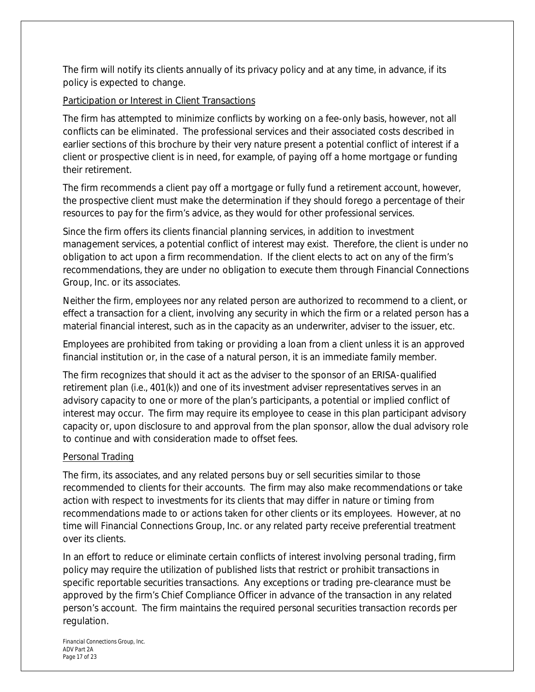The firm will notify its clients annually of its privacy policy and at any time, in advance, if its policy is expected to change.

# Participation or Interest in Client Transactions

The firm has attempted to minimize conflicts by working on a fee-only basis, however, not all conflicts can be eliminated. The professional services and their associated costs described in earlier sections of this brochure by their very nature present a potential conflict of interest if a client or prospective client is in need, for example, of paying off a home mortgage or funding their retirement.

The firm recommends a client pay off a mortgage or fully fund a retirement account, however, the prospective client must make the determination if they should forego a percentage of their resources to pay for the firm's advice, as they would for other professional services.

Since the firm offers its clients financial planning services, in addition to investment management services, a potential conflict of interest may exist. Therefore, the client is under no obligation to act upon a firm recommendation. If the client elects to act on any of the firm's recommendations, they are under no obligation to execute them through Financial Connections Group, Inc. or its associates.

Neither the firm, employees nor any related person are authorized to recommend to a client, or effect a transaction for a client, involving any security in which the firm or a related person has a material financial interest, such as in the capacity as an underwriter, adviser to the issuer, etc.

Employees are prohibited from taking or providing a loan from a client unless it is an approved financial institution or, in the case of a natural person, it is an immediate family member.

The firm recognizes that should it act as the adviser to the sponsor of an ERISA-qualified retirement plan (i.e., 401(k)) and one of its investment adviser representatives serves in an advisory capacity to one or more of the plan's participants, a potential or implied conflict of interest may occur. The firm may require its employee to cease in this plan participant advisory capacity or, upon disclosure to and approval from the plan sponsor, allow the dual advisory role to continue and with consideration made to offset fees.

# Personal Trading

The firm, its associates, and any related persons buy or sell securities similar to those recommended to clients for their accounts. The firm may also make recommendations or take action with respect to investments for its clients that may differ in nature or timing from recommendations made to or actions taken for other clients or its employees. However, at no time will Financial Connections Group, Inc. or any related party receive preferential treatment over its clients.

In an effort to reduce or eliminate certain conflicts of interest involving personal trading, firm policy may require the utilization of published lists that restrict or prohibit transactions in specific reportable securities transactions. Any exceptions or trading pre-clearance must be approved by the firm's Chief Compliance Officer in advance of the transaction in any related person's account. The firm maintains the required personal securities transaction records per regulation.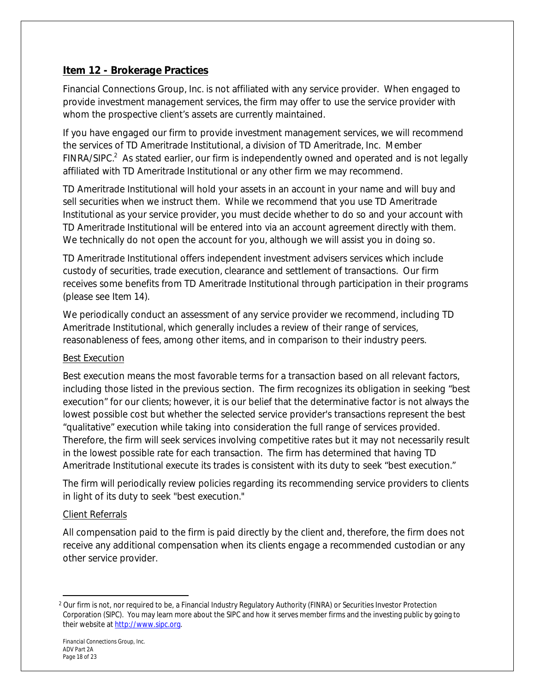# **Item 12 - Brokerage Practices**

Financial Connections Group, Inc. is not affiliated with any service provider. When engaged to provide investment management services, the firm may offer to use the service provider with whom the prospective client's assets are currently maintained.

If you have engaged our firm to provide investment management services, we will recommend the services of TD Ameritrade Institutional, a division of TD Ameritrade, Inc. Member FINRA/SIPC. $2$  As stated earlier, our firm is independently owned and operated and is not legally affiliated with TD Ameritrade Institutional or any other firm we may recommend.

TD Ameritrade Institutional will hold your assets in an account in your name and will buy and sell securities when we instruct them. While we recommend that you use TD Ameritrade Institutional as your service provider, you must decide whether to do so and your account with TD Ameritrade Institutional will be entered into via an account agreement directly with them. We technically do not open the account for you, although we will assist you in doing so.

TD Ameritrade Institutional offers independent investment advisers services which include custody of securities, trade execution, clearance and settlement of transactions. Our firm receives some benefits from TD Ameritrade Institutional through participation in their programs (please see Item 14).

We periodically conduct an assessment of any service provider we recommend, including TD Ameritrade Institutional, which generally includes a review of their range of services, reasonableness of fees, among other items, and in comparison to their industry peers.

# Best Execution

Best execution means the most favorable terms for a transaction based on all relevant factors, including those listed in the previous section. The firm recognizes its obligation in seeking "best execution" for our clients; however, it is our belief that the determinative factor is not always the lowest possible cost but whether the selected service provider's transactions represent the best "qualitative" execution while taking into consideration the full range of services provided. Therefore, the firm will seek services involving competitive rates but it may not necessarily result in the lowest possible rate for each transaction. The firm has determined that having TD Ameritrade Institutional execute its trades is consistent with its duty to seek "best execution."

The firm will periodically review policies regarding its recommending service providers to clients in light of its duty to seek "best execution."

# Client Referrals

All compensation paid to the firm is paid directly by the client and, therefore, the firm does not receive any additional compensation when its clients engage a recommended custodian or any other service provider.

<sup>&</sup>lt;sup>2</sup> Our firm is not, nor required to be, a Financial Industry Regulatory Authority (FINRA) or Securities Investor Protection Corporation (SIPC). You may learn more about the SIPC and how it serves member firms and the investing public by going to their website at [http://www.sipc.org.](http://www.sipc.org)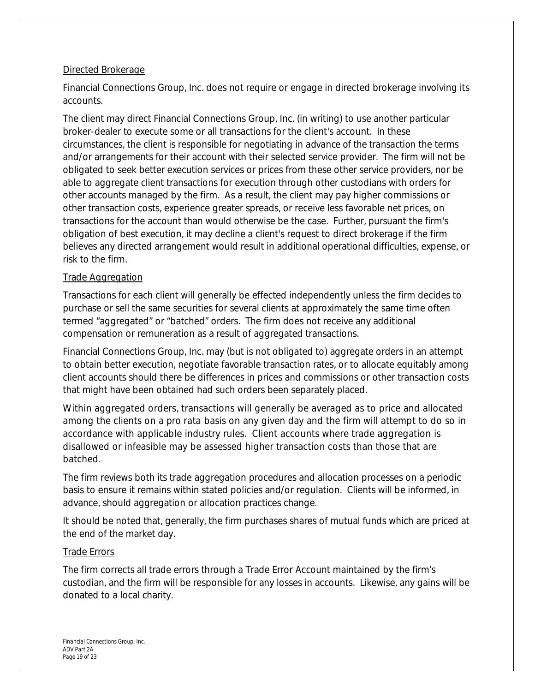# Directed Brokerage

Financial Connections Group, Inc. does not require or engage in directed brokerage involving its accounts.

The client may direct Financial Connections Group, Inc. (in writing) to use another particular broker-dealer to execute some or all transactions for the client's account. In these circumstances, the client is responsible for negotiating *in advance of the transaction* the terms and/or arrangements for their account with their selected service provider. The firm will not be obligated to seek better execution services or prices from these other service providers, nor be able to aggregate client transactions for execution through other custodians with orders for other accounts managed by the firm. As a result, the client may pay higher commissions or other transaction costs, experience greater spreads, or receive less favorable net prices, on transactions for the account than would otherwise be the case. Further, pursuant the firm's obligation of best execution, it may decline a client's request to direct brokerage if the firm believes any directed arrangement would result in additional operational difficulties, expense, or risk to the firm.

# Trade Aggregation

Transactions for each client will generally be effected independently unless the firm decides to purchase or sell the same securities for several clients at approximately the same time often termed "aggregated" or "batched" orders. The firm does not receive any additional compensation or remuneration as a result of aggregated transactions.

Financial Connections Group, Inc. may (but is not obligated to) aggregate orders in an attempt to obtain better execution, negotiate favorable transaction rates, or to allocate equitably among client accounts should there be differences in prices and commissions or other transaction costs that might have been obtained had such orders been separately placed.

Within aggregated orders, transactions will generally be averaged as to price and allocated among the clients on a *pro rata* basis on any given day and the firm will attempt to do so in accordance with applicable industry rules. Client accounts where trade aggregation is disallowed or infeasible may be assessed higher transaction costs than those that are batched.

The firm reviews both its trade aggregation procedures and allocation processes on a periodic basis to ensure it remains within stated policies and/or regulation. Clients will be informed, in advance, should aggregation or allocation practices change.

It should be noted that, generally, the firm purchases shares of mutual funds which are priced at the end of the market day.

# Trade Errors

The firm corrects all trade errors through a Trade Error Account maintained by the firm's custodian, and the firm will be responsible for any losses in accounts. Likewise, any gains will be donated to a local charity.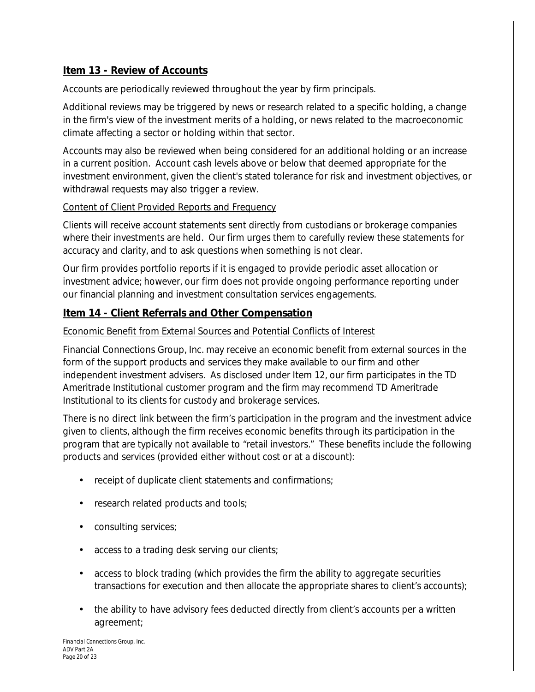# **Item 13 - Review of Accounts**

Accounts are periodically reviewed throughout the year by firm principals.

Additional reviews may be triggered by news or research related to a specific holding, a change in the firm's view of the investment merits of a holding, or news related to the macroeconomic climate affecting a sector or holding within that sector.

Accounts may also be reviewed when being considered for an additional holding or an increase in a current position. Account cash levels above or below that deemed appropriate for the investment environment, given the client's stated tolerance for risk and investment objectives, or withdrawal requests may also trigger a review.

# Content of Client Provided Reports and Frequency

Clients will receive account statements sent directly from custodians or brokerage companies where their investments are held. Our firm urges them to carefully review these statements for accuracy and clarity, and to ask questions when something is not clear.

Our firm provides portfolio reports if it is engaged to provide periodic asset allocation or investment advice; however, our firm does not provide ongoing performance reporting under our financial planning and investment consultation services engagements.

# **Item 14 - Client Referrals and Other Compensation**

# Economic Benefit from External Sources and Potential Conflicts of Interest

Financial Connections Group, Inc. may receive an economic benefit from external sources in the form of the support products and services they make available to our firm and other independent investment advisers. As disclosed under Item 12, our firm participates in the TD Ameritrade Institutional customer program and the firm may recommend TD Ameritrade Institutional to its clients for custody and brokerage services.

There is no direct link between the firm's participation in the program and the investment advice given to clients, although the firm receives economic benefits through its participation in the program that are typically not available to "retail investors." These benefits include the following products and services (provided either without cost or at a discount):

- receipt of duplicate client statements and confirmations;
- research related products and tools;  $\mathcal{L}_{\mathcal{A}}$
- consulting services;
- access to a trading desk serving our clients;
- access to block trading (which provides the firm the ability to aggregate securities transactions for execution and then allocate the appropriate shares to client's accounts);
- the ability to have advisory fees deducted directly from client's accounts per a written agreement;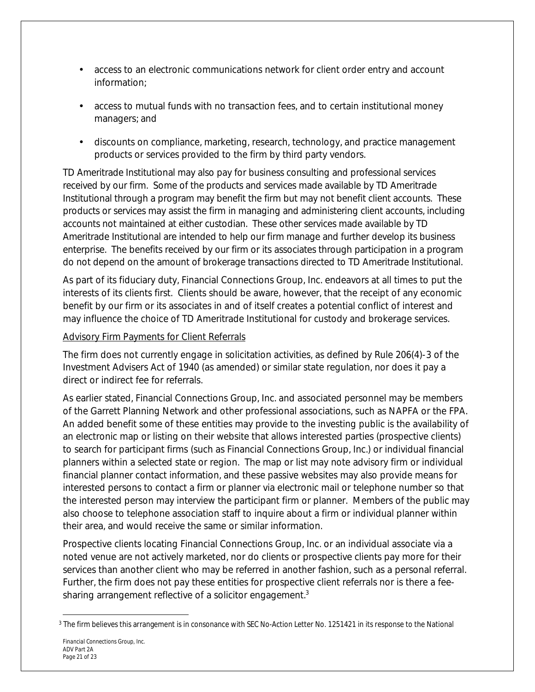- access to an electronic communications network for client order entry and account information;
- access to mutual funds with no transaction fees, and to certain institutional money managers; and
- discounts on compliance, marketing, research, technology, and practice management products or services provided to the firm by third party vendors.

TD Ameritrade Institutional may also pay for business consulting and professional services received by our firm. Some of the products and services made available by TD Ameritrade Institutional through a program may benefit the firm but may not benefit client accounts. These products or services may assist the firm in managing and administering client accounts, including accounts not maintained at either custodian. These other services made available by TD Ameritrade Institutional are intended to help our firm manage and further develop its business enterprise. The benefits received by our firm or its associates through participation in a program do not depend on the amount of brokerage transactions directed to TD Ameritrade Institutional.

As part of its fiduciary duty, Financial Connections Group, Inc. endeavors at all times to put the interests of its clients first. Clients should be aware, however, that the receipt of any economic benefit by our firm or its associates in and of itself creates a potential conflict of interest and may influence the choice of TD Ameritrade Institutional for custody and brokerage services.

# Advisory Firm Payments for Client Referrals

The firm does not currently engage in solicitation activities, as defined by Rule 206(4)-3 of the Investment Advisers Act of 1940 (as amended) or similar state regulation, nor does it pay a direct or indirect fee for referrals.

As earlier stated, Financial Connections Group, Inc. and associated personnel may be members of the Garrett Planning Network and other professional associations, such as NAPFA or the FPA. An added benefit some of these entities may provide to the investing public is the availability of an electronic map or listing on their website that allows interested parties (prospective clients) to search for participant firms (such as Financial Connections Group, Inc.) or individual financial planners within a selected state or region. The map or list may note advisory firm or individual financial planner contact information, and these passive websites may also provide means for interested persons to contact a firm or planner via electronic mail or telephone number so that the interested person may interview the participant firm or planner. Members of the public may also choose to telephone association staff to inquire about a firm or individual planner within their area, and would receive the same or similar information.

Prospective clients locating Financial Connections Group, Inc. or an individual associate via a noted venue are not actively marketed, nor do clients or prospective clients pay more for their services than another client who may be referred in another fashion, such as a personal referral. Further, the firm does not pay these entities for prospective client referrals nor is there a feesharing arrangement reflective of a solicitor engagement.<sup>3</sup>

<sup>&</sup>lt;sup>3</sup> The firm believes this arrangement is in consonance with SEC No-Action Letter No. 1251421 in its response to the National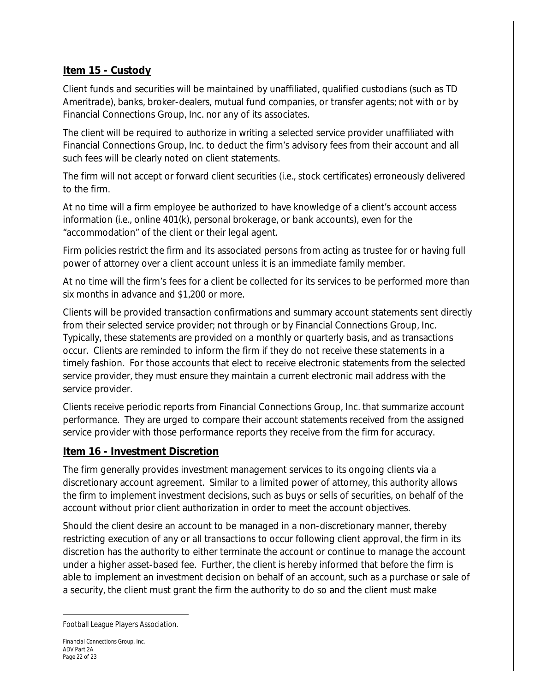# **Item 15 - Custody**

Client funds and securities will be maintained by unaffiliated, qualified custodians (such as TD Ameritrade), banks, broker-dealers, mutual fund companies, or transfer agents; not with or by Financial Connections Group, Inc. nor any of its associates.

The client will be required to authorize in writing a selected service provider unaffiliated with Financial Connections Group, Inc. to deduct the firm's advisory fees from their account and all such fees will be clearly noted on client statements.

The firm will not accept or forward client securities (i.e., stock certificates) erroneously delivered to the firm.

At no time will a firm employee be authorized to have knowledge of a client's account access information (i.e., online 401(k), personal brokerage, or bank accounts), even for the "accommodation" of the client or their legal agent.

Firm policies restrict the firm and its associated persons from acting as trustee for or having full power of attorney over a client account unless it is an immediate family member.

At no time will the firm's fees for a client be collected for its services to be performed more than six months in advance *and* \$1,200 or more.

Clients will be provided transaction confirmations and summary account statements sent directly from their selected service provider; not through or by Financial Connections Group, Inc. Typically, these statements are provided on a monthly or quarterly basis, and as transactions occur. Clients are reminded to inform the firm if they do not receive these statements in a timely fashion. For those accounts that elect to receive electronic statements from the selected service provider, they must ensure they maintain a current electronic mail address with the service provider.

Clients receive periodic reports from Financial Connections Group, Inc. that summarize account performance. They are urged to compare their account statements received from the assigned service provider with those performance reports they receive from the firm for accuracy.

# **Item 16 - Investment Discretion**

The firm generally provides investment management services to its ongoing clients via a discretionary account agreement. Similar to a limited power of attorney, this authority allows the firm to implement investment decisions, such as buys or sells of securities, on behalf of the account without prior client authorization in order to meet the account objectives.

Should the client desire an account to be managed in a non-discretionary manner, thereby restricting execution of any or all transactions to occur following client approval, the firm in its discretion has the authority to either terminate the account or continue to manage the account under a higher asset-based fee. Further, the client is hereby informed that before the firm is able to implement an investment decision on behalf of an account, such as a purchase or sale of a security, the client must grant the firm the authority to do so and the client must make

Football League Players Association.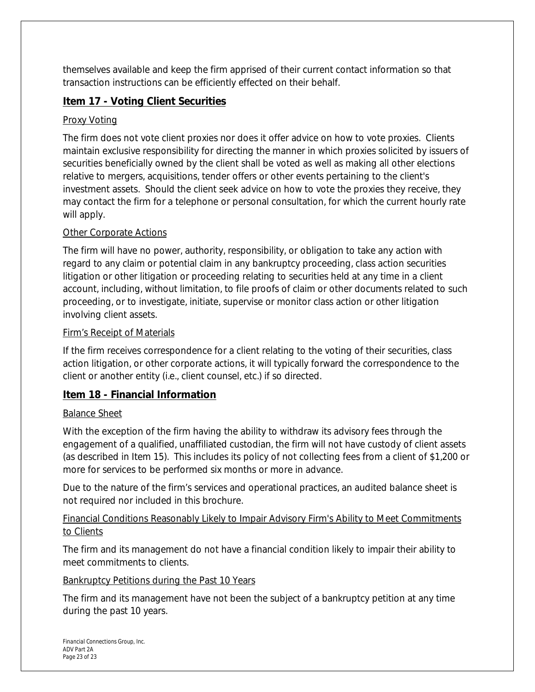themselves available and keep the firm apprised of their current contact information so that transaction instructions can be efficiently effected on their behalf.

# **Item 17 - Voting Client Securities**

# Proxy Voting

The firm does not vote client proxies nor does it offer advice on how to vote proxies. Clients maintain exclusive responsibility for directing the manner in which proxies solicited by issuers of securities beneficially owned by the client shall be voted as well as making all other elections relative to mergers, acquisitions, tender offers or other events pertaining to the client's investment assets. Should the client seek advice on how to vote the proxies they receive, they may contact the firm for a telephone or personal consultation, for which the current hourly rate will apply.

# Other Corporate Actions

The firm will have no power, authority, responsibility, or obligation to take any action with regard to any claim or potential claim in any bankruptcy proceeding, class action securities litigation or other litigation or proceeding relating to securities held at any time in a client account, including, without limitation, to file proofs of claim or other documents related to such proceeding, or to investigate, initiate, supervise or monitor class action or other litigation involving client assets.

# Firm's Receipt of Materials

If the firm receives correspondence for a client relating to the voting of their securities, class action litigation, or other corporate actions, it will typically forward the correspondence to the client or another entity (i.e., client counsel, etc.) if so directed.

# **Item 18 - Financial Information**

# Balance Sheet

With the exception of the firm having the ability to withdraw its advisory fees through the engagement of a qualified, unaffiliated custodian, the firm will not have custody of client assets (as described in Item 15). This includes its policy of not collecting fees from a client of \$1,200 or more for services to be performed six months or more in advance.

Due to the nature of the firm's services and operational practices, an audited balance sheet is not required nor included in this brochure.

# Financial Conditions Reasonably Likely to Impair Advisory Firm's Ability to Meet Commitments to Clients

The firm and its management do not have a financial condition likely to impair their ability to meet commitments to clients.

# Bankruptcy Petitions during the Past 10 Years

The firm and its management have not been the subject of a bankruptcy petition at any time during the past 10 years.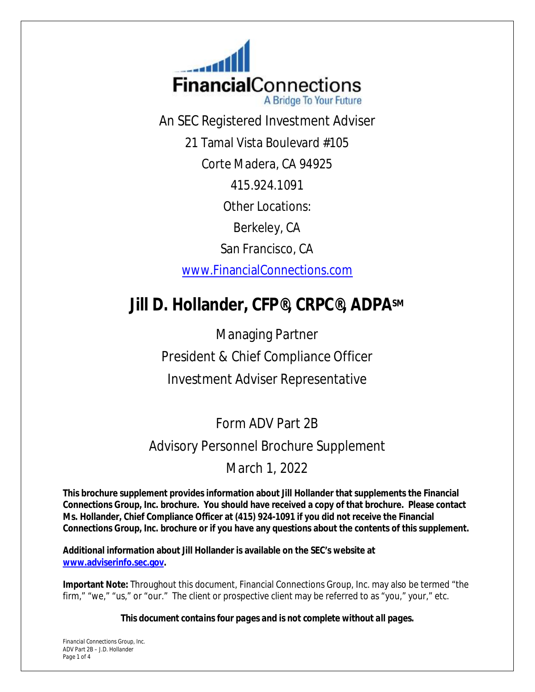**FinancialConnections** A Bridge To Your Future

An SEC Registered Investment Adviser

21 Tamal Vista Boulevard #105

Corte Madera, CA 94925

415.924.1091

Other Locations:

Berkeley, CA

San Francisco, CA

[www.FinancialConnections.com](http://www.FinancialConnections.com) 

# **Jill D. Hollander, CFP®, CRPC®, ADPASM**

Managing Partner President & Chief Compliance Officer Investment Adviser Representative

# Form ADV Part 2B Advisory Personnel Brochure Supplement

# March 1, 2022

**This brochure supplement provides information about Jill Hollander that supplements the Financial Connections Group, Inc. brochure. You should have received a copy of that brochure. Please contact Ms. Hollander, Chief Compliance Officer at (415) 924-1091 if you did not receive the Financial Connections Group, Inc. brochure or if you have any questions about the contents of this supplement.**

**Additional information about Jill Hollander is available on the SEC's website at [www.adviserinfo.sec.gov](http://www.adviserinfo.sec.gov).** 

**Important Note:** Throughout this document, Financial Connections Group, Inc. may also be termed "the firm," "we," "us," or "our." The client or prospective client may be referred to as "you," your," etc.

*This document contains four pages and is not complete without all pages.*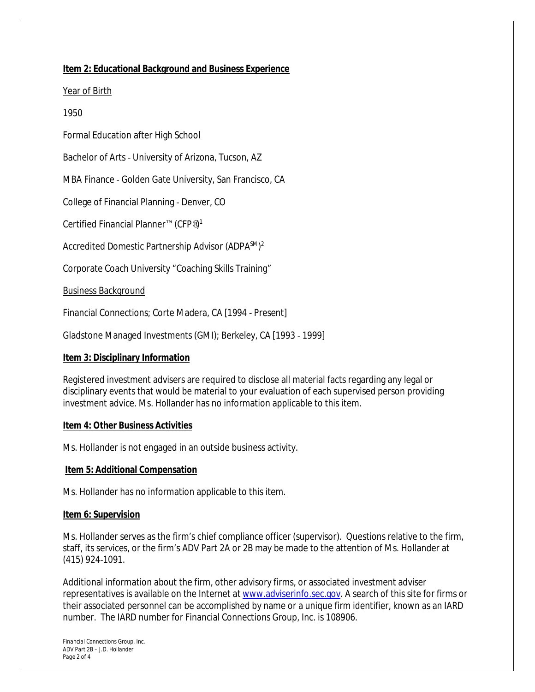#### **Item 2: Educational Background and Business Experience**

#### Year of Birth

#### 1950

Formal Education after High School

Bachelor of Arts ‐ University of Arizona, Tucson, AZ

MBA Finance ‐ Golden Gate University, San Francisco, CA

College of Financial Planning ‐ Denver, CO

Certified Financial Planner™ (CFP®)<sup>1</sup>

Accredited Domestic Partnership Advisor (ADPASM)<sup>2</sup>

Corporate Coach University "Coaching Skills Training"

#### Business Background

Financial Connections; Corte Madera, CA [1994 ‐ Present]

Gladstone Managed Investments (GMI); Berkeley, CA [1993 ‐ 1999]

#### **Item 3: Disciplinary Information**

Registered investment advisers are required to disclose all material facts regarding any legal or disciplinary events that would be material to your evaluation of each supervised person providing investment advice. Ms. Hollander has no information applicable to this item.

#### **Item 4: Other Business Activities**

Ms. Hollander is not engaged in an outside business activity.

#### **Item 5: Additional Compensation**

Ms. Hollander has no information applicable to this item.

#### **Item 6: Supervision**

Ms. Hollander serves as the firm's chief compliance officer (supervisor). Questions relative to the firm, staff, its services, or the firm's ADV Part 2A or 2B may be made to the attention of Ms. Hollander at (415) 924‐1091.

Additional information about the firm, other advisory firms, or associated investment adviser representatives is available on the Internet at [www.adviserinfo.sec.gov.](http://www.adviserinfo.sec.gov) A search of this site for firms or their associated personnel can be accomplished by name or a unique firm identifier, known as an IARD number. The IARD number for Financial Connections Group, Inc. is 108906.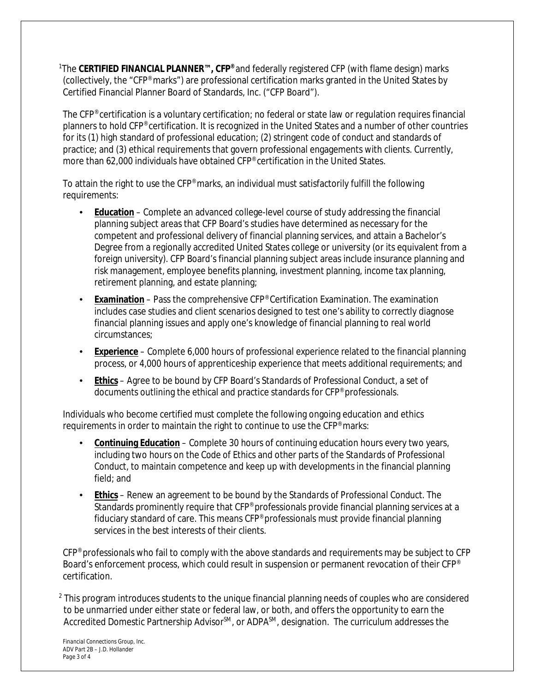<sup>1</sup>The **CERTIFIED FINANCIAL PLANNER™, CFP®** and federally registered CFP (with flame design) marks (collectively, the "CFP® marks") are professional certification marks granted in the United States by Certified Financial Planner Board of Standards, Inc. ("CFP Board").

The CFP® certification is a voluntary certification; no federal or state law or regulation requires financial planners to hold CFP® certification. It is recognized in the United States and a number of other countries for its (1) high standard of professional education; (2) stringent code of conduct and standards of practice; and (3) ethical requirements that govern professional engagements with clients. Currently, more than 62,000 individuals have obtained CFP® certification in the United States.

To attain the right to use the CFP® marks, an individual must satisfactorily fulfill the following requirements:

- **Education** Complete an advanced college-level course of study addressing the financial planning subject areas that CFP Board's studies have determined as necessary for the competent and professional delivery of financial planning services, and attain a Bachelor's Degree from a regionally accredited United States college or university (or its equivalent from a foreign university). CFP Board's financial planning subject areas include insurance planning and risk management, employee benefits planning, investment planning, income tax planning, retirement planning, and estate planning;
- **Examination** Pass the comprehensive CFP® Certification Examination. The examination includes case studies and client scenarios designed to test one's ability to correctly diagnose financial planning issues and apply one's knowledge of financial planning to real world circumstances;
- **Experience** Complete 6,000 hours of professional experience related to the financial planning process, or 4,000 hours of apprenticeship experience that meets additional requirements; and
- **Ethics** Agree to be bound by CFP Board's *Standards of Professional Conduct*, a set of documents outlining the ethical and practice standards for CFP® professionals.

Individuals who become certified must complete the following ongoing education and ethics requirements in order to maintain the right to continue to use the CFP® marks:

- **Continuing Education** Complete 30 hours of continuing education hours every two years, including two hours on the *Code of Ethics* and other parts of the *Standards of Professional Conduct*, to maintain competence and keep up with developments in the financial planning field; and
- **Ethics** Renew an agreement to be bound by the *Standards of Professional Conduct*. The Standards prominently require that CFP<sup>®</sup> professionals provide financial planning services at a fiduciary standard of care. This means CFP® professionals must provide financial planning services in the best interests of their clients.

CFP® professionals who fail to comply with the above standards and requirements may be subject to CFP Board's enforcement process, which could result in suspension or permanent revocation of their CFP<sup>®</sup> certification.

<sup>2</sup> This program introduces students to the unique financial planning needs of couples who are considered to be unmarried under either state or federal law, or both, and offers the opportunity to earn the Accredited Domestic Partnership Advisor<sup>SM</sup>, or ADPA<sup>SM</sup>, designation. The curriculum addresses the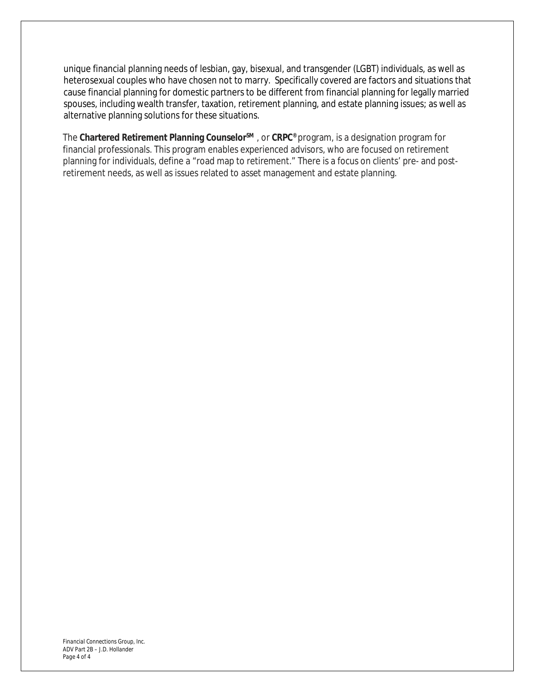unique financial planning needs of lesbian, gay, bisexual, and transgender (LGBT) individuals, as well as heterosexual couples who have chosen not to marry. Specifically covered are factors and situations that cause financial planning for domestic partners to be different from financial planning for legally married spouses, including wealth transfer, taxation, retirement planning, and estate planning issues; as well as alternative planning solutions for these situations.

The **Chartered Retirement Planning CounselorSM** , or **CRPC®** program, is a designation program for financial professionals. This program enables experienced advisors, who are focused on retirement planning for individuals, define a "road map to retirement." There is a focus on clients' pre- and postretirement needs, as well as issues related to asset management and estate planning.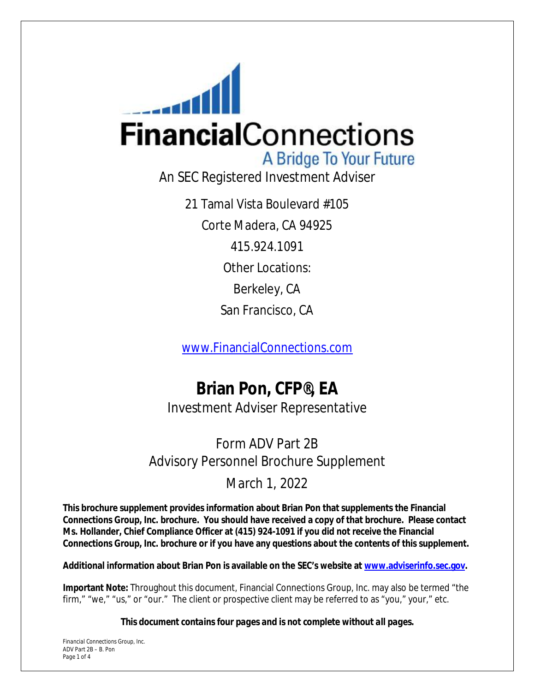

21 Tamal Vista Boulevard #105 Corte Madera, CA 94925 415.924.1091 Other Locations: Berkeley, CA San Francisco, CA

[www.FinancialConnections.com](http://www.FinancialConnections.com) 

# **Brian Pon, CFP®, EA** Investment Adviser Representative

# Form ADV Part 2B Advisory Personnel Brochure Supplement

# March 1, 2022

**This brochure supplement provides information about Brian Pon that supplements the Financial Connections Group, Inc. brochure. You should have received a copy of that brochure. Please contact Ms. Hollander, Chief Compliance Officer at (415) 924-1091 if you did not receive the Financial Connections Group, Inc. brochure or if you have any questions about the contents of this supplement.**

**Additional information about Brian Pon is available on the SEC's website at [www.adviserinfo.sec.gov](http://www.adviserinfo.sec.gov).** 

**Important Note:** Throughout this document, Financial Connections Group, Inc. may also be termed "the firm," "we," "us," or "our." The client or prospective client may be referred to as "you," your," etc.

*This document contains four pages and is not complete without all pages.*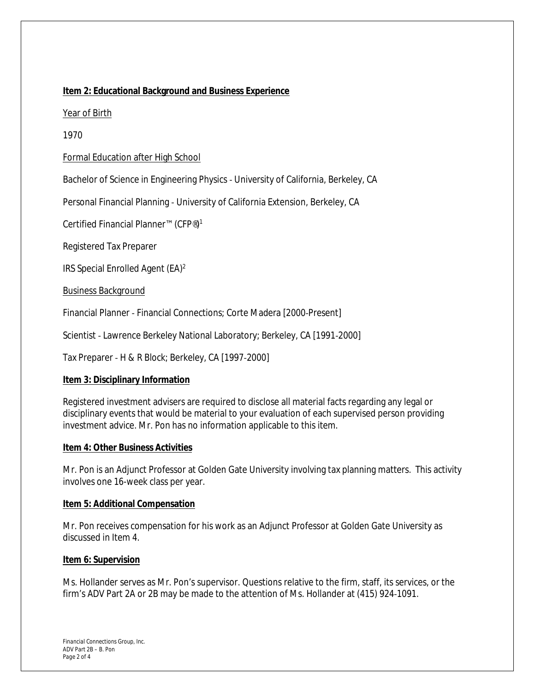# **Item 2: Educational Background and Business Experience**

#### Year of Birth

1970

Formal Education after High School

Bachelor of Science in Engineering Physics ‐ University of California, Berkeley, CA

Personal Financial Planning ‐ University of California Extension, Berkeley, CA

Certified Financial Planner™ (CFP®)<sup>1</sup>

Registered Tax Preparer

IRS Special Enrolled Agent (EA)<sup>2</sup>

Business Background

Financial Planner ‐ Financial Connections; Corte Madera [2000‐Present]

Scientist ‐ Lawrence Berkeley National Laboratory; Berkeley, CA [1991‐2000]

Tax Preparer ‐ H & R Block; Berkeley, CA [1997‐2000]

#### **Item 3: Disciplinary Information**

Registered investment advisers are required to disclose all material facts regarding any legal or disciplinary events that would be material to your evaluation of each supervised person providing investment advice. Mr. Pon has no information applicable to this item.

#### **Item 4: Other Business Activities**

Mr. Pon is an Adjunct Professor at Golden Gate University involving tax planning matters. This activity involves one 16-week class per year.

#### **Item 5: Additional Compensation**

Mr. Pon receives compensation for his work as an Adjunct Professor at Golden Gate University as discussed in Item 4.

#### **Item 6: Supervision**

Ms. Hollander serves as Mr. Pon's supervisor. Questions relative to the firm, staff, its services, or the firm's ADV Part 2A or 2B may be made to the attention of Ms. Hollander at (415) 924‐1091.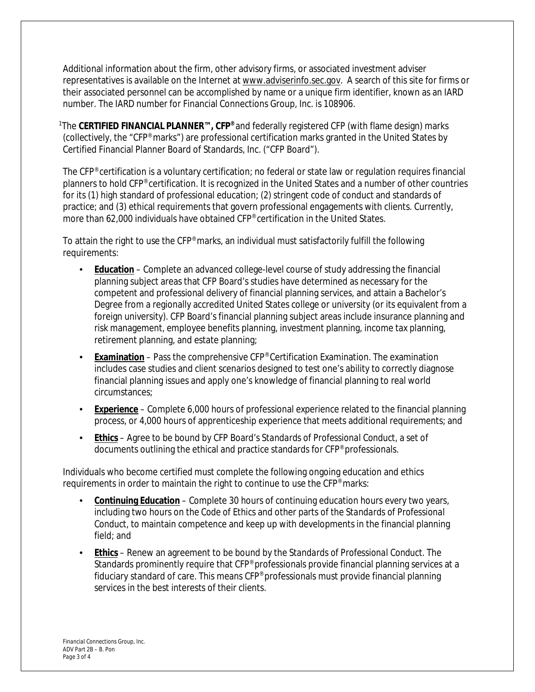Additional information about the firm, other advisory firms, or associated investment adviser representatives is available on the Internet at [www.adviserinfo.sec.gov.](http://www.adviserinfo.sec.gov) A search of this site for firms or their associated personnel can be accomplished by name or a unique firm identifier, known as an IARD number. The IARD number for Financial Connections Group, Inc. is 108906.

<sup>1</sup>The **CERTIFIED FINANCIAL PLANNER™, CFP®** and federally registered CFP (with flame design) marks (collectively, the "CFP® marks") are professional certification marks granted in the United States by Certified Financial Planner Board of Standards, Inc. ("CFP Board").

The CFP® certification is a voluntary certification; no federal or state law or regulation requires financial planners to hold CFP® certification. It is recognized in the United States and a number of other countries for its (1) high standard of professional education; (2) stringent code of conduct and standards of practice; and (3) ethical requirements that govern professional engagements with clients. Currently, more than 62,000 individuals have obtained CFP® certification in the United States.

To attain the right to use the CFP® marks, an individual must satisfactorily fulfill the following requirements:

- **Education** Complete an advanced college-level course of study addressing the financial planning subject areas that CFP Board's studies have determined as necessary for the competent and professional delivery of financial planning services, and attain a Bachelor's Degree from a regionally accredited United States college or university (or its equivalent from a foreign university). CFP Board's financial planning subject areas include insurance planning and risk management, employee benefits planning, investment planning, income tax planning, retirement planning, and estate planning;
- **Examination** Pass the comprehensive CFP® Certification Examination. The examination includes case studies and client scenarios designed to test one's ability to correctly diagnose financial planning issues and apply one's knowledge of financial planning to real world circumstances;
- **Experience** Complete 6,000 hours of professional experience related to the financial planning process, or 4,000 hours of apprenticeship experience that meets additional requirements; and
- **Ethics** Agree to be bound by CFP Board's *Standards of Professional Conduct*, a set of documents outlining the ethical and practice standards for CFP® professionals.

Individuals who become certified must complete the following ongoing education and ethics requirements in order to maintain the right to continue to use the CFP® marks:

- **Continuing Education** Complete 30 hours of continuing education hours every two years, including two hours on the *Code of Ethics* and other parts of the *Standards of Professional Conduct*, to maintain competence and keep up with developments in the financial planning field; and
- **Ethics** Renew an agreement to be bound by the *Standards of Professional Conduct*. The Standards prominently require that CFP<sup>®</sup> professionals provide financial planning services at a fiduciary standard of care. This means CFP® professionals must provide financial planning services in the best interests of their clients.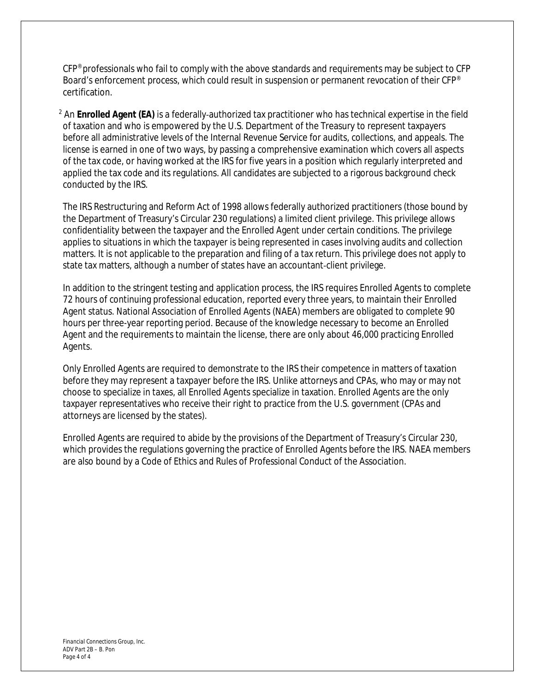CFP® professionals who fail to comply with the above standards and requirements may be subject to CFP Board's enforcement process, which could result in suspension or permanent revocation of their CFP<sup>®</sup> certification.

<sup>2</sup> An **Enrolled Agent (EA)** is a federally‐authorized tax practitioner who has technical expertise in the field of taxation and who is empowered by the U.S. Department of the Treasury to represent taxpayers before all administrative levels of the Internal Revenue Service for audits, collections, and appeals. The license is earned in one of two ways, by passing a comprehensive examination which covers all aspects of the tax code, or having worked at the IRS for five years in a position which regularly interpreted and applied the tax code and its regulations. All candidates are subjected to a rigorous background check conducted by the IRS.

The IRS Restructuring and Reform Act of 1998 allows federally authorized practitioners (those bound by the Department of Treasury's Circular 230 regulations) a limited client privilege. This privilege allows confidentiality between the taxpayer and the Enrolled Agent under certain conditions. The privilege applies to situations in which the taxpayer is being represented in cases involving audits and collection matters. It is not applicable to the preparation and filing of a tax return. This privilege does not apply to state tax matters, although a number of states have an accountant‐client privilege.

In addition to the stringent testing and application process, the IRS requires Enrolled Agents to complete 72 hours of continuing professional education, reported every three years, to maintain their Enrolled Agent status. National Association of Enrolled Agents (NAEA) members are obligated to complete 90 hours per three-year reporting period. Because of the knowledge necessary to become an Enrolled Agent and the requirements to maintain the license, there are only about 46,000 practicing Enrolled Agents.

Only Enrolled Agents are required to demonstrate to the IRS their competence in matters of taxation before they may represent a taxpayer before the IRS. Unlike attorneys and CPAs, who may or may not choose to specialize in taxes, all Enrolled Agents specialize in taxation. Enrolled Agents are the only taxpayer representatives who receive their right to practice from the U.S. government (CPAs and attorneys are licensed by the states).

Enrolled Agents are required to abide by the provisions of the Department of Treasury's Circular 230, which provides the regulations governing the practice of Enrolled Agents before the IRS. NAEA members are also bound by a Code of Ethics and Rules of Professional Conduct of the Association.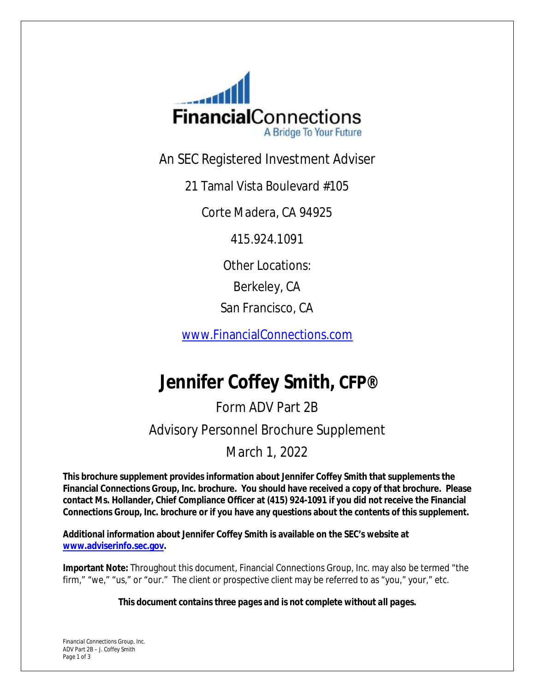

An SEC Registered Investment Adviser

21 Tamal Vista Boulevard #105

Corte Madera, CA 94925

415.924.1091

Other Locations:

Berkeley, CA

San Francisco, CA

[www.FinancialConnections.com](http://www.FinancialConnections.com) 

# **Jennifer Coffey Smith, CFP®**

# Form ADV Part 2B Advisory Personnel Brochure Supplement

# March 1, 2022

**This brochure supplement provides information about Jennifer Coffey Smith that supplements the Financial Connections Group, Inc. brochure. You should have received a copy of that brochure. Please contact Ms. Hollander, Chief Compliance Officer at (415) 924-1091 if you did not receive the Financial Connections Group, Inc. brochure or if you have any questions about the contents of this supplement.**

**Additional information about Jennifer Coffey Smith is available on the SEC's website at [www.adviserinfo.sec.gov](http://www.adviserinfo.sec.gov).** 

**Important Note:** Throughout this document, Financial Connections Group, Inc. may also be termed "the firm," "we," "us," or "our." The client or prospective client may be referred to as "you," your," etc.

*This document contains three pages and is not complete without all pages.*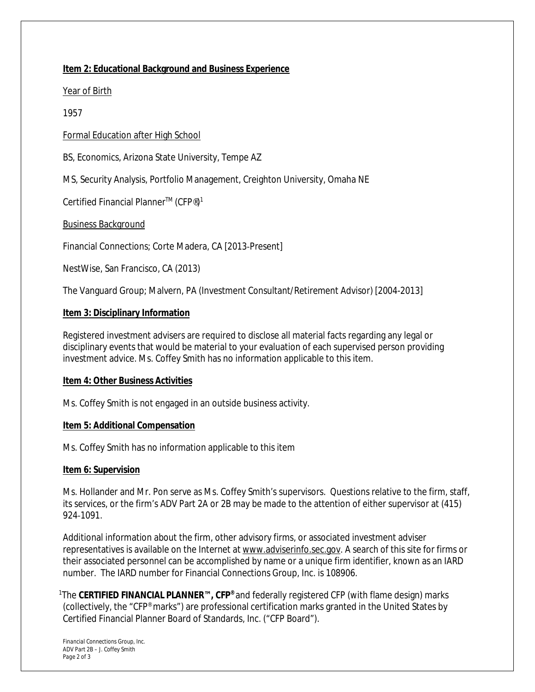# **Item 2: Educational Background and Business Experience**

#### Year of Birth

#### 1957

# Formal Education after High School

BS, Economics, Arizona State University, Tempe AZ

MS, Security Analysis, Portfolio Management, Creighton University, Omaha NE

Certified Financial Planner™ (CFP®)<sup>1</sup>

Business Background

Financial Connections; Corte Madera, CA [2013‐Present]

NestWise, San Francisco, CA (2013)

The Vanguard Group; Malvern, PA (Investment Consultant/Retirement Advisor) [2004-2013]

#### **Item 3: Disciplinary Information**

Registered investment advisers are required to disclose all material facts regarding any legal or disciplinary events that would be material to your evaluation of each supervised person providing investment advice. Ms. Coffey Smith has no information applicable to this item.

#### **Item 4: Other Business Activities**

Ms. Coffey Smith is not engaged in an outside business activity.

#### **Item 5: Additional Compensation**

Ms. Coffey Smith has no information applicable to this item

#### **Item 6: Supervision**

Ms. Hollander and Mr. Pon serve as Ms. Coffey Smith's supervisors. Questions relative to the firm, staff, its services, or the firm's ADV Part 2A or 2B may be made to the attention of either supervisor at (415) 924‐1091.

Additional information about the firm, other advisory firms, or associated investment adviser representatives is available on the Internet at [www.adviserinfo.sec.gov.](http://www.adviserinfo.sec.gov) A search of this site for firms or their associated personnel can be accomplished by name or a unique firm identifier, known as an IARD number. The IARD number for Financial Connections Group, Inc. is 108906.

<sup>1</sup>The **CERTIFIED FINANCIAL PLANNER™, CFP®** and federally registered CFP (with flame design) marks (collectively, the "CFP® marks") are professional certification marks granted in the United States by Certified Financial Planner Board of Standards, Inc. ("CFP Board").